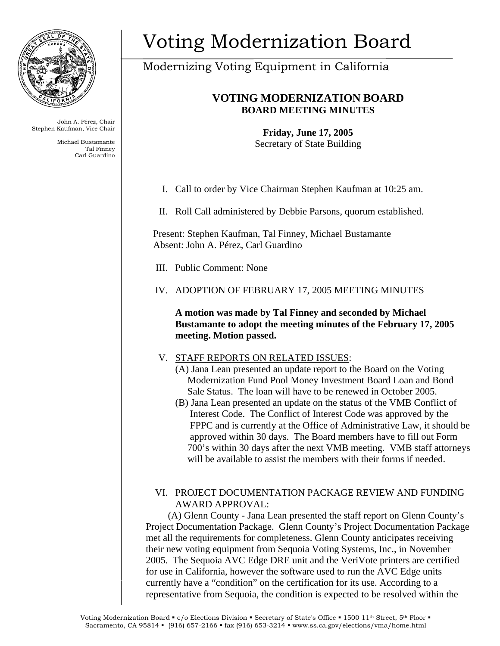

John A. Pérez, Chair Stephen Kaufman, Vice Chair

> Michael Bustamante Tal Finney Carl Guardino

# Voting Modernization Board

## Modernizing Voting Equipment in California

### **VOTING MODERNIZATION BOARD BOARD MEETING MINUTES**

**Friday, June 17, 2005**  Secretary of State Building

I. Call to order by Vice Chairman Stephen Kaufman at 10:25 am.

II. Roll Call administered by Debbie Parsons, quorum established.

Present: Stephen Kaufman, Tal Finney, Michael Bustamante Absent: John A. Pérez, Carl Guardino

III. Public Comment: None

#### IV. ADOPTION OF FEBRUARY 17, 2005 MEETING MINUTES

**A motion was made by Tal Finney and seconded by Michael Bustamante to adopt the meeting minutes of the February 17, 2005 meeting. Motion passed.** 

#### V. STAFF REPORTS ON RELATED ISSUES:

- (A) Jana Lean presented an update report to the Board on the Voting Modernization Fund Pool Money Investment Board Loan and Bond Sale Status. The loan will have to be renewed in October 2005.
- (B) Jana Lean presented an update on the status of the VMB Conflict of Interest Code. The Conflict of Interest Code was approved by the FPPC and is currently at the Office of Administrative Law, it should be approved within 30 days. The Board members have to fill out Form 700's within 30 days after the next VMB meeting. VMB staff attorneys will be available to assist the members with their forms if needed.

#### VI. PROJECT DOCUMENTATION PACKAGE REVIEW AND FUNDING AWARD APPROVAL:

 (A) Glenn County - Jana Lean presented the staff report on Glenn County's Project Documentation Package. Glenn County's Project Documentation Package met all the requirements for completeness. Glenn County anticipates receiving their new voting equipment from Sequoia Voting Systems, Inc., in November 2005. The Sequoia AVC Edge DRE unit and the VeriVote printers are certified for use in California, however the software used to run the AVC Edge units currently have a "condition" on the certification for its use. According to a representative from Sequoia, the condition is expected to be resolved within the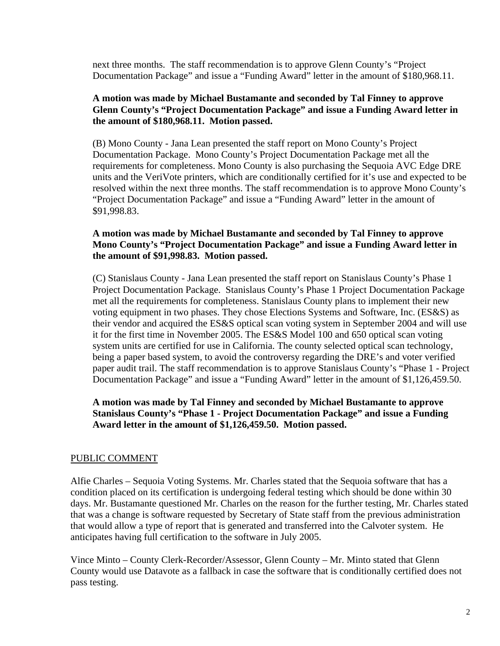next three months. The staff recommendation is to approve Glenn County's "Project Documentation Package" and issue a "Funding Award" letter in the amount of \$180,968.11.

#### **A motion was made by Michael Bustamante and seconded by Tal Finney to approve Glenn County's "Project Documentation Package" and issue a Funding Award letter in the amount of \$180,968.11. Motion passed.**

(B) Mono County - Jana Lean presented the staff report on Mono County's Project Documentation Package. Mono County's Project Documentation Package met all the requirements for completeness. Mono County is also purchasing the Sequoia AVC Edge DRE units and the VeriVote printers, which are conditionally certified for it's use and expected to be resolved within the next three months. The staff recommendation is to approve Mono County's "Project Documentation Package" and issue a "Funding Award" letter in the amount of \$91,998.83.

#### **A motion was made by Michael Bustamante and seconded by Tal Finney to approve Mono County's "Project Documentation Package" and issue a Funding Award letter in the amount of \$91,998.83. Motion passed.**

(C) Stanislaus County - Jana Lean presented the staff report on Stanislaus County's Phase 1 Project Documentation Package. Stanislaus County's Phase 1 Project Documentation Package met all the requirements for completeness. Stanislaus County plans to implement their new voting equipment in two phases. They chose Elections Systems and Software, Inc. (ES&S) as their vendor and acquired the ES&S optical scan voting system in September 2004 and will use it for the first time in November 2005. The ES&S Model 100 and 650 optical scan voting system units are certified for use in California. The county selected optical scan technology, being a paper based system, to avoid the controversy regarding the DRE's and voter verified paper audit trail. The staff recommendation is to approve Stanislaus County's "Phase 1 - Project Documentation Package" and issue a "Funding Award" letter in the amount of \$1,126,459.50.

#### **A motion was made by Tal Finney and seconded by Michael Bustamante to approve Stanislaus County's "Phase 1 - Project Documentation Package" and issue a Funding Award letter in the amount of \$1,126,459.50. Motion passed.**

#### PUBLIC COMMENT

Alfie Charles – Sequoia Voting Systems. Mr. Charles stated that the Sequoia software that has a condition placed on its certification is undergoing federal testing which should be done within 30 days. Mr. Bustamante questioned Mr. Charles on the reason for the further testing, Mr. Charles stated that was a change is software requested by Secretary of State staff from the previous administration that would allow a type of report that is generated and transferred into the Calvoter system. He anticipates having full certification to the software in July 2005.

Vince Minto – County Clerk-Recorder/Assessor, Glenn County – Mr. Minto stated that Glenn County would use Datavote as a fallback in case the software that is conditionally certified does not pass testing.